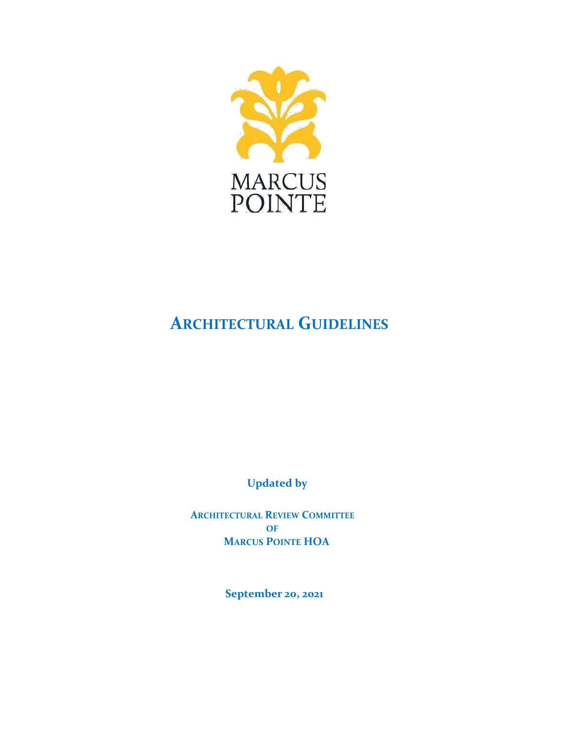

# **ARCHITECTURAL GUIDELINES**

**Updated by**

**ARCHITECTURAL REVIEW COMMITTEE OF MARCUS POINTE HOA**

**September 20, 2021**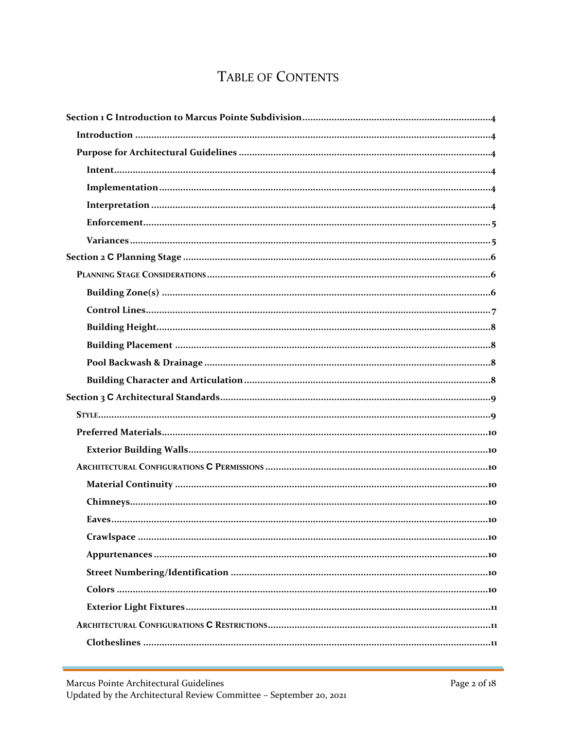## TABLE OF CONTENTS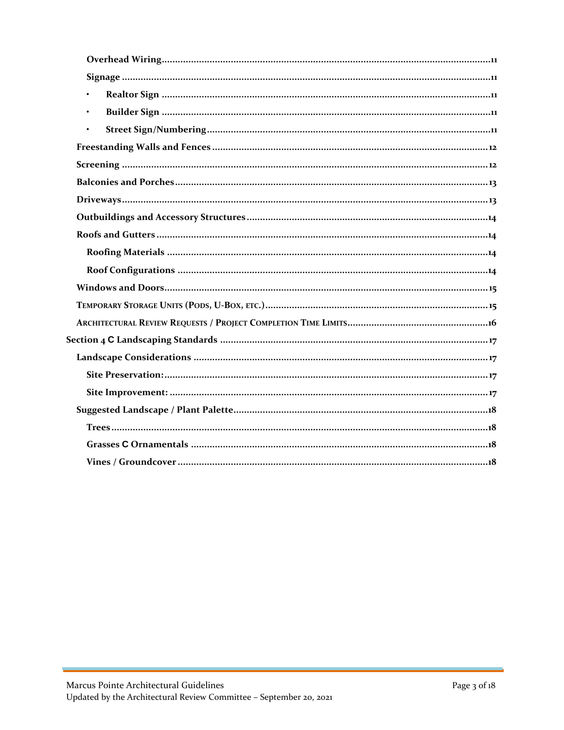| $\bullet$ |
|-----------|
| $\bullet$ |
|           |
|           |
|           |
|           |
|           |
|           |
|           |
|           |
|           |
|           |
|           |
|           |
|           |
|           |
|           |
|           |
|           |
|           |
|           |
|           |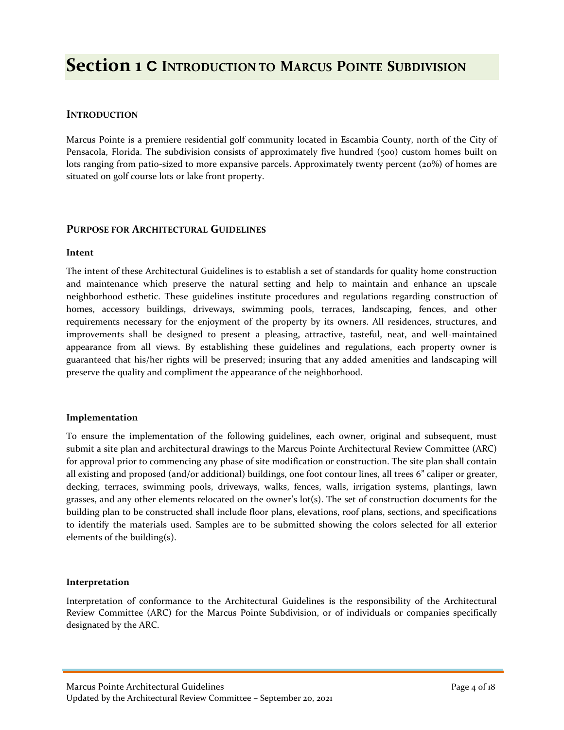## <span id="page-3-0"></span>**Section 1 C INTRODUCTION TO MARCUS POINTE SUBDIVISION**

### **INTRODUCTION**

Marcus Pointe is a premiere residential golf community located in Escambia County, north of the City of Pensacola, Florida. The subdivision consists of approximately five hundred (500) custom homes built on lots ranging from patio-sized to more expansive parcels. Approximately twenty percent (20%) of homes are situated on golf course lots or lake front property.

#### **PURPOSE FOR ARCHITECTURAL GUIDELINES**

#### **Intent**

The intent of these Architectural Guidelines is to establish a set of standards for quality home construction and maintenance which preserve the natural setting and help to maintain and enhance an upscale neighborhood esthetic. These guidelines institute procedures and regulations regarding construction of homes, accessory buildings, driveways, swimming pools, terraces, landscaping, fences, and other requirements necessary for the enjoyment of the property by its owners. All residences, structures, and improvements shall be designed to present a pleasing, attractive, tasteful, neat, and well-maintained appearance from all views. By establishing these guidelines and regulations, each property owner is guaranteed that his/her rights will be preserved; insuring that any added amenities and landscaping will preserve the quality and compliment the appearance of the neighborhood.

#### **Implementation**

To ensure the implementation of the following guidelines, each owner, original and subsequent, must submit a site plan and architectural drawings to the Marcus Pointe Architectural Review Committee (ARC) for approval prior to commencing any phase of site modification or construction. The site plan shall contain all existing and proposed (and/or additional) buildings, one foot contour lines, all trees 6" caliper or greater, decking, terraces, swimming pools, driveways, walks, fences, walls, irrigation systems, plantings, lawn grasses, and any other elements relocated on the owner's lot(s). The set of construction documents for the building plan to be constructed shall include floor plans, elevations, roof plans, sections, and specifications to identify the materials used. Samples are to be submitted showing the colors selected for all exterior elements of the building(s).

#### **Interpretation**

Interpretation of conformance to the Architectural Guidelines is the responsibility of the Architectural Review Committee (ARC) for the Marcus Pointe Subdivision, or of individuals or companies specifically designated by the ARC.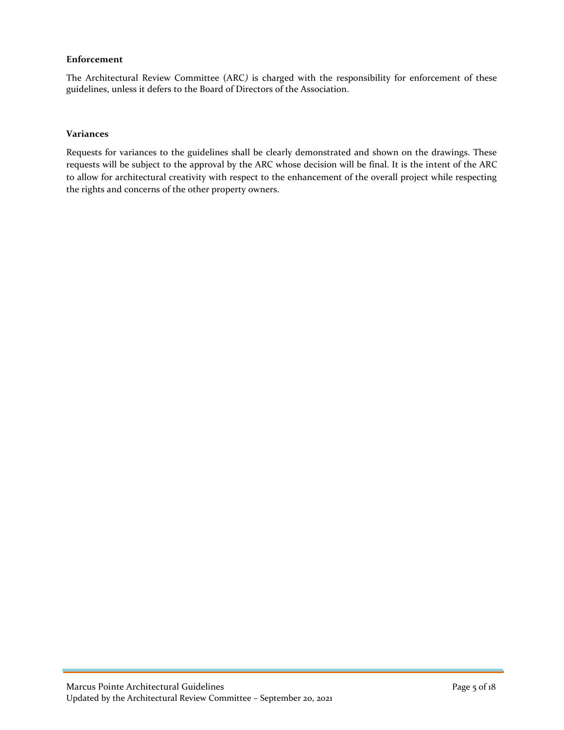#### <span id="page-4-0"></span>**Enforcement**

The Architectural Review Committee (ARC*)* is charged with the responsibility for enforcement of these guidelines, unless it defers to the Board of Directors of the Association.

#### **Variances**

Requests for variances to the guidelines shall be clearly demonstrated and shown on the drawings. These requests will be subject to the approval by the ARC whose decision will be final. It is the intent of the ARC to allow for architectural creativity with respect to the enhancement of the overall project while respecting the rights and concerns of the other property owners.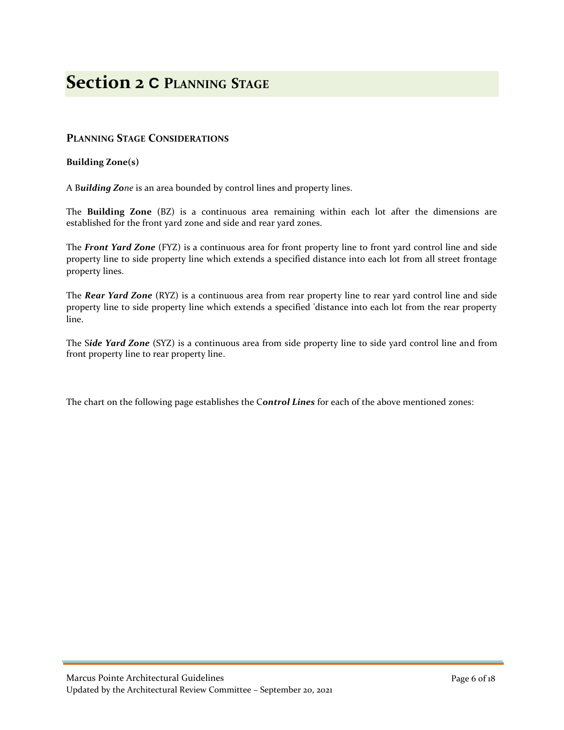## <span id="page-5-0"></span>**Section 2 C PLANNING STAGE**

### **PLANNING STAGE CONSIDERATIONS**

#### **Building Zone(s)**

A B*uilding Zone* is an area bounded by control lines and property lines.

The **Building Zone** (BZ) is a continuous area remaining within each lot after the dimensions are established for the front yard zone and side and rear yard zones.

The *Front Yard Zone* (FYZ) is a continuous area for front property line to front yard control line and side property line to side property line which extends a specified distance into each lot from all street frontage property lines.

The *Rear Yard Zone* (RYZ) is a continuous area from rear property line to rear yard control line and side property line to side property line which extends a specified 'distance into each lot from the rear property line.

The S*ide Yard Zone* (SYZ) is a continuous area from side property line to side yard control line and from front property line to rear property line.

The chart on the following page establishes the C*ontrol Lines* for each of the above mentioned zones: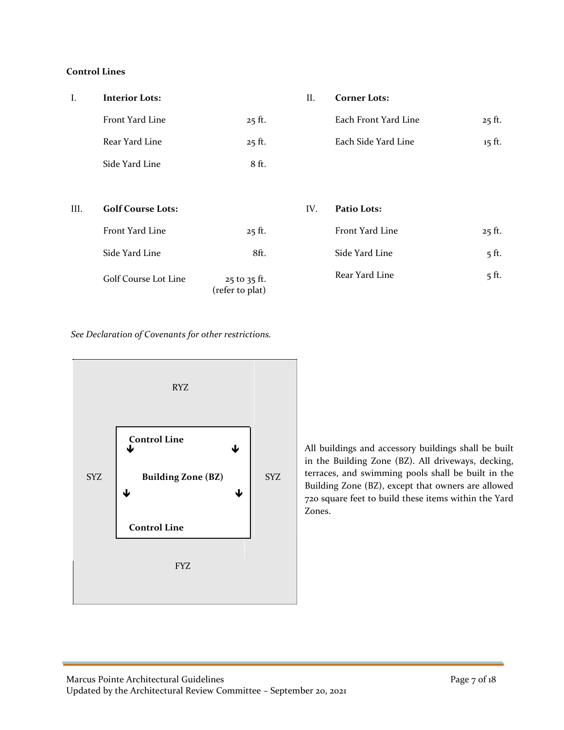#### <span id="page-6-0"></span>**Control Lines**

| I.   | <b>Interior Lots:</b>       |                                 | II. | <b>Corner Lots:</b>  |          |
|------|-----------------------------|---------------------------------|-----|----------------------|----------|
|      | Front Yard Line             | $25$ ft.                        |     | Each Front Yard Line | $25$ ft. |
|      | Rear Yard Line              | $25$ ft.                        |     | Each Side Yard Line  | $15$ ft. |
|      | Side Yard Line              | 8 ft.                           |     |                      |          |
|      |                             |                                 |     |                      |          |
| III. | <b>Golf Course Lots:</b>    |                                 | IV. | Patio Lots:          |          |
|      | Front Yard Line             | $25$ ft.                        |     | Front Yard Line      | $25$ ft. |
|      | Side Yard Line              | 8ft.                            |     | Side Yard Line       | $5$ ft.  |
|      | <b>Golf Course Lot Line</b> | 25 to 35 ft.<br>(refer to plat) |     | Rear Yard Line       | $5$ ft.  |

#### I. **Interior Lots:** II. **Corner Lots:**

| Front Yard Line | $25$ ft. | Each Front Yard Line | $25$ ft. |  |
|-----------------|----------|----------------------|----------|--|
| Rear Yard Line  | $25$ ft. | Each Side Yard Line  | 15 ft.   |  |

| <b>Golf Course Lots:</b> |                  | IV. | Patio Lots:     |          |
|--------------------------|------------------|-----|-----------------|----------|
| Front Yard Line          | $25$ ft.         |     | Front Yard Line | $25$ ft. |
| Side Yard Line           | 8ft.             |     | Side Yard Line  | $5$ ft.  |
| Golf Course Lot Line     | $25$ to $35$ ft. |     | Rear Yard Line  | $5$ ft.  |

*See Declaration of Covenants for other restrictions.*



All buildings and accessory buildings shall be built in the Building Zone (BZ). All driveways, decking, terraces, and swimming pools shall be built in the Building Zone (BZ), except that owners are allowed 720 square feet to build these items within the Yard Zones.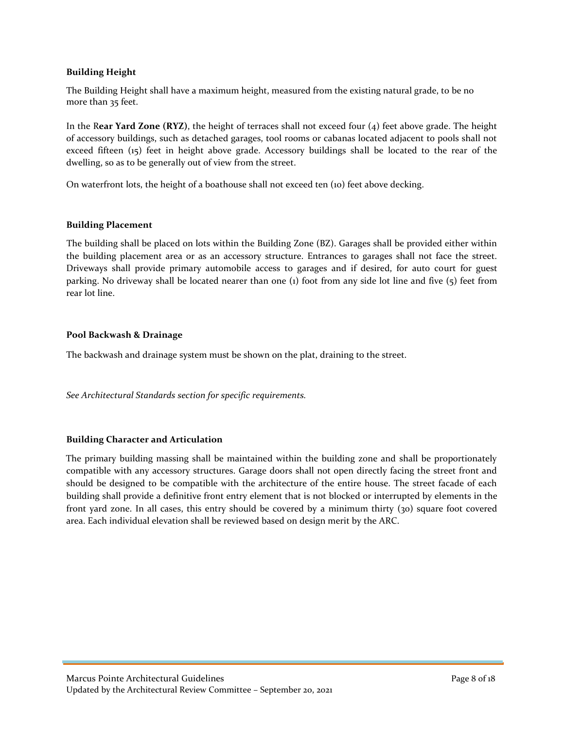#### <span id="page-7-0"></span>**Building Height**

The Building Height shall have a maximum height, measured from the existing natural grade, to be no more than 35 feet.

In the R**ear Yard Zone (RYZ)**, the height of terraces shall not exceed four (4) feet above grade. The height of accessory buildings, such as detached garages, tool rooms or cabanas located adjacent to pools shall not exceed fifteen (15) feet in height above grade. Accessory buildings shall be located to the rear of the dwelling, so as to be generally out of view from the street.

On waterfront lots, the height of a boathouse shall not exceed ten (10) feet above decking.

#### **Building Placement**

The building shall be placed on lots within the Building Zone (BZ). Garages shall be provided either within the building placement area or as an accessory structure. Entrances to garages shall not face the street. Driveways shall provide primary automobile access to garages and if desired, for auto court for guest parking. No driveway shall be located nearer than one (1) foot from any side lot line and five (5) feet from rear lot line.

#### **Pool Backwash & Drainage**

The backwash and drainage system must be shown on the plat, draining to the street.

*See Architectural Standards section for specific requirements.*

#### **Building Character and Articulation**

The primary building massing shall be maintained within the building zone and shall be proportionately compatible with any accessory structures. Garage doors shall not open directly facing the street front and should be designed to be compatible with the architecture of the entire house. The street facade of each building shall provide a definitive front entry element that is not blocked or interrupted by elements in the front yard zone. In all cases, this entry should be covered by a minimum thirty (30) square foot covered area. Each individual elevation shall be reviewed based on design merit by the ARC.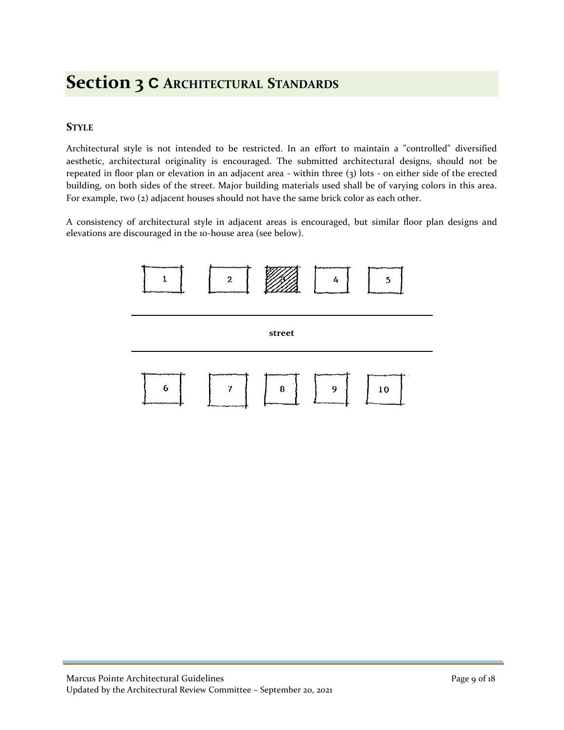## <span id="page-8-0"></span>**Section 3 C ARCHITECTURAL STANDARDS**

## **STYLE**

Architectural style is not intended to be restricted. In an effort to maintain a "controlled" diversified aesthetic, architectural originality is encouraged. The submitted architectural designs, should not be repeated in floor plan or elevation in an adjacent area - within three (3) lots - on either side of the erected building, on both sides of the street. Major building materials used shall be of varying colors in this area. For example, two (2) adjacent houses should not have the same brick color as each other.

A consistency of architectural style in adjacent areas is encouraged, but similar floor plan designs and elevations are discouraged in the 10-house area (see below).

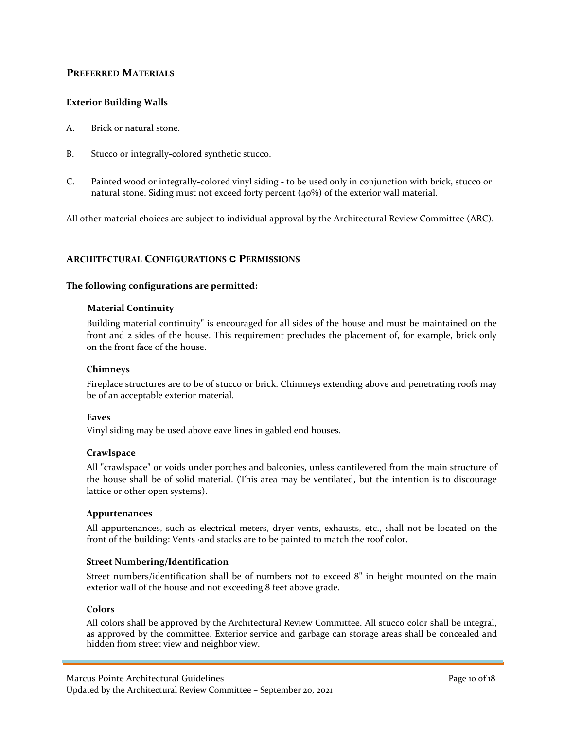### <span id="page-9-0"></span>**PREFERRED MATERIALS**

#### **Exterior Building Walls**

- A. Brick or natural stone.
- B. Stucco or integrally-colored synthetic stucco.
- C. Painted wood or integrally-colored vinyl siding to be used only in conjunction with brick, stucco or natural stone. Siding must not exceed forty percent (40%) of the exterior wall material.

All other material choices are subject to individual approval by the Architectural Review Committee (ARC).

#### **ARCHITECTURAL CONFIGURATIONS C PERMISSIONS**

#### **The following configurations are permitted:**

#### **Material Continuity**

Building material continuity" is encouraged for all sides of the house and must be maintained on the front and 2 sides of the house. This requirement precludes the placement of, for example, brick only on the front face of the house.

#### **Chimneys**

Fireplace structures are to be of stucco or brick. Chimneys extending above and penetrating roofs may be of an acceptable exterior material.

#### **Eaves**

Vinyl siding may be used above eave lines in gabled end houses.

#### **Crawlspace**

All "crawlspace" or voids under porches and balconies, unless cantilevered from the main structure of the house shall be of solid material. (This area may be ventilated, but the intention is to discourage lattice or other open systems).

#### **Appurtenances**

All appurtenances, such as electrical meters, dryer vents, exhausts, etc., shall not be located on the front of the building: Vents ·and stacks are to be painted to match the roof color.

#### **Street Numbering/Identification**

Street numbers/identification shall be of numbers not to exceed 8" in height mounted on the main exterior wall of the house and not exceeding 8 feet above grade.

#### **Colors**

All colors shall be approved by the Architectural Review Committee. All stucco color shall be integral, as approved by the committee. Exterior service and garbage can storage areas shall be concealed and hidden from street view and neighbor view.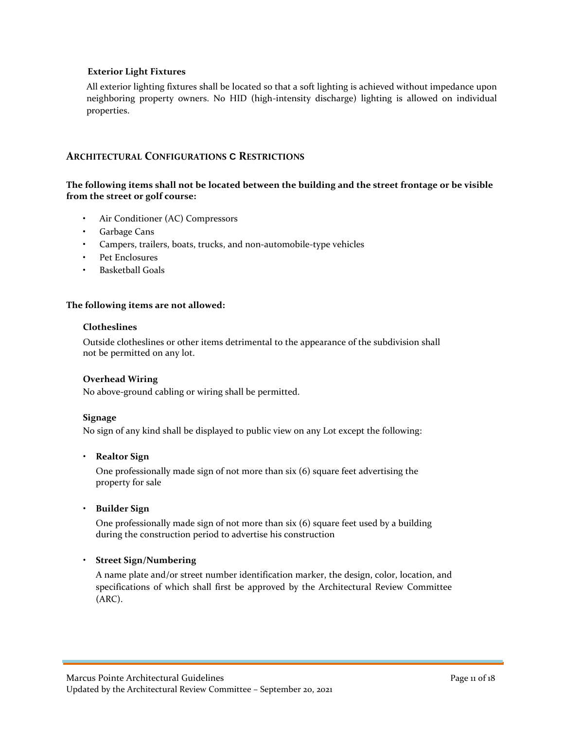#### <span id="page-10-0"></span>**Exterior Light Fixtures**

All exterior lighting fixtures shall be located so that a soft lighting is achieved without impedance upon neighboring property owners. No HID (high-intensity discharge) lighting is allowed on individual properties.

#### **ARCHITECTURAL CONFIGURATIONS C RESTRICTIONS**

#### **The following items shall not be located between the building and the street frontage or be visible from the street or golf course:**

- Air Conditioner (AC) Compressors
- Garbage Cans
- Campers, trailers, boats, trucks, and non-automobile-type vehicles
- Pet Enclosures
- Basketball Goals

#### **The following items are not allowed:**

#### **Clotheslines**

Outside clotheslines or other items detrimental to the appearance of the subdivision shall not be permitted on any lot.

#### **Overhead Wiring**

No above-ground cabling or wiring shall be permitted.

#### **Signage**

No sign of any kind shall be displayed to public view on any Lot except the following:

#### • **Realtor Sign**

One professionally made sign of not more than six (6) square feet advertising the property for sale

• **Builder Sign**

One professionally made sign of not more than six (6) square feet used by a building during the construction period to advertise his construction

#### • **Street Sign/Numbering**

A name plate and/or street number identification marker, the design, color, location, and specifications of which shall first be approved by the Architectural Review Committee (ARC).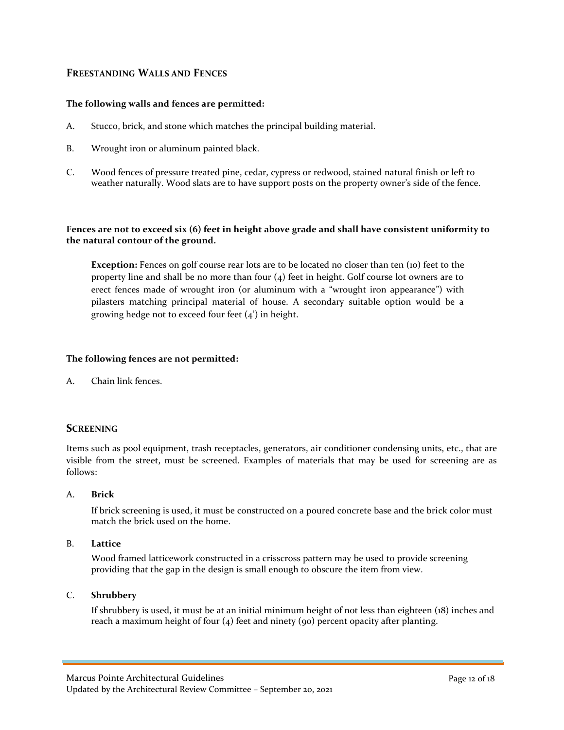### <span id="page-11-0"></span>**FREESTANDING WALLS AND FENCES**

#### **The following walls and fences are permitted:**

- A. Stucco, brick, and stone which matches the principal building material.
- B. Wrought iron or aluminum painted black.
- C. Wood fences of pressure treated pine, cedar, cypress or redwood, stained natural finish or left to weather naturally. Wood slats are to have support posts on the property owner's side of the fence.

#### **Fences are not to exceed six (6) feet in height above grade and shall have consistent uniformity to the natural contour of the ground.**

**Exception:** Fences on golf course rear lots are to be located no closer than ten (10) feet to the property line and shall be no more than four (4) feet in height. Golf course lot owners are to erect fences made of wrought iron (or aluminum with a "wrought iron appearance") with pilasters matching principal material of house. A secondary suitable option would be a growing hedge not to exceed four feet (4') in height.

#### **The following fences are not permitted:**

A. Chain link fences.

## **SCREENING**

Items such as pool equipment, trash receptacles, generators, air conditioner condensing units, etc., that are visible from the street, must be screened. Examples of materials that may be used for screening are as follows:

#### A. **Brick**

If brick screening is used, it must be constructed on a poured concrete base and the brick color must match the brick used on the home.

#### B. **Lattice**

Wood framed latticework constructed in a crisscross pattern may be used to provide screening providing that the gap in the design is small enough to obscure the item from view.

#### C. **Shrubbery**

If shrubbery is used, it must be at an initial minimum height of not less than eighteen (18) inches and reach a maximum height of four  $(4)$  feet and ninety  $(90)$  percent opacity after planting.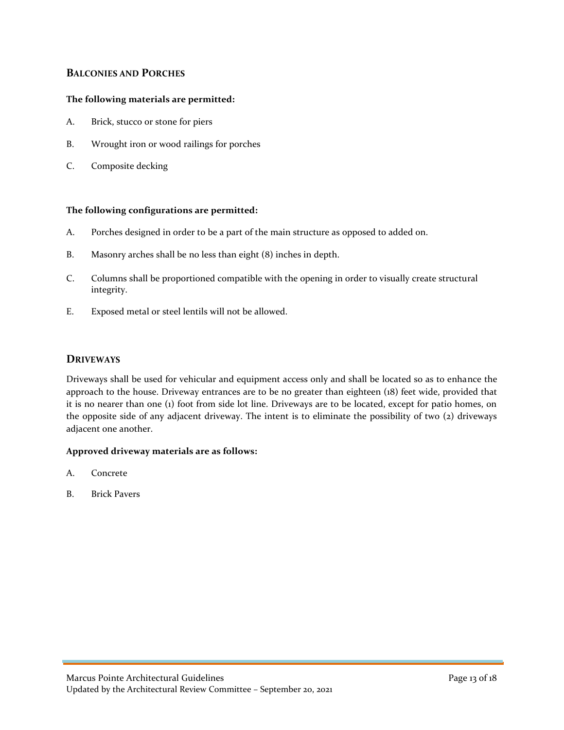### <span id="page-12-0"></span>**BALCONIES AND PORCHES**

#### **The following materials are permitted:**

- A. Brick, stucco or stone for piers
- B. Wrought iron or wood railings for porches
- C. Composite decking

#### **The following configurations are permitted:**

- A. Porches designed in order to be a part of the main structure as opposed to added on.
- B. Masonry arches shall be no less than eight (8) inches in depth.
- C. Columns shall be proportioned compatible with the opening in order to visually create structural integrity.
- E. Exposed metal or steel lentils will not be allowed.

#### **DRIVEWAYS**

Driveways shall be used for vehicular and equipment access only and shall be located so as to enhance the approach to the house. Driveway entrances are to be no greater than eighteen (18) feet wide, provided that it is no nearer than one (1) foot from side lot line. Driveways are to be located, except for patio homes, on the opposite side of any adjacent driveway. The intent is to eliminate the possibility of two (2) driveways adjacent one another.

#### **Approved driveway materials are as follows:**

- A. Concrete
- B. Brick Pavers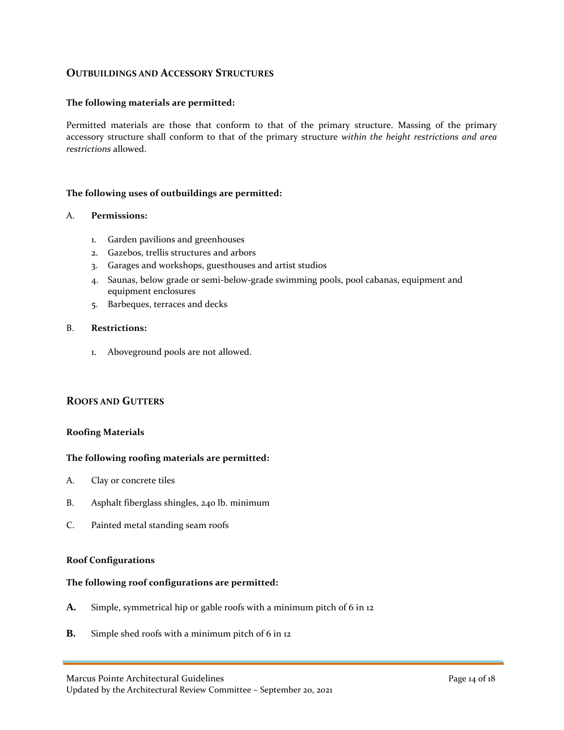### <span id="page-13-0"></span>**OUTBUILDINGS AND ACCESSORY STRUCTURES**

#### **The following materials are permitted:**

Permitted materials are those that conform to that of the primary structure. Massing of the primary accessory structure shall conform to that of the primary structure *within the height restrictions and area restrictions* allowed.

#### **The following uses of outbuildings are permitted:**

#### A. **Permissions:**

- 1. Garden pavilions and greenhouses
- 2. Gazebos, trellis structures and arbors
- 3. Garages and workshops, guesthouses and artist studios
- 4. Saunas, below grade or semi-below-grade swimming pools, pool cabanas, equipment and equipment enclosures
- 5. Barbeques, terraces and decks

#### B. **Restrictions:**

1. Aboveground pools are not allowed.

#### **ROOFS AND GUTTERS**

#### **Roofing Materials**

#### **The following roofing materials are permitted:**

- A. Clay or concrete tiles
- B. Asphalt fiberglass shingles, 240 lb. minimum
- C. Painted metal standing seam roofs

#### **Roof Configurations**

#### **The following roof configurations are permitted:**

- **A.** Simple, symmetrical hip or gable roofs with a minimum pitch of 6 in 12
- **B.** Simple shed roofs with a minimum pitch of 6 in 12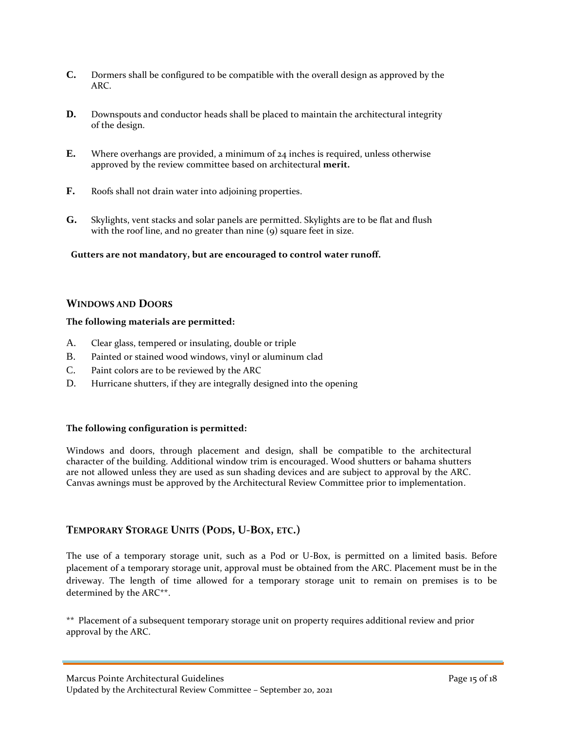- <span id="page-14-0"></span>**C.** Dormers shall be configured to be compatible with the overall design as approved by the ARC.
- **D.** Downspouts and conductor heads shall be placed to maintain the architectural integrity of the design.
- **E.** Where overhangs are provided, a minimum of 24 inches is required, unless otherwise approved by the review committee based on architectural **merit.**
- **F.** Roofs shall not drain water into adjoining properties.
- **G.** Skylights, vent stacks and solar panels are permitted. Skylights are to be flat and flush with the roof line, and no greater than nine (9) square feet in size.

**Gutters are not mandatory, but are encouraged to control water runoff.**

#### **WINDOWS AND DOORS**

#### **The following materials are permitted:**

- A. Clear glass, tempered or insulating, double or triple
- B. Painted or stained wood windows, vinyl or aluminum clad
- C. Paint colors are to be reviewed by the ARC
- D. Hurricane shutters, if they are integrally designed into the opening

#### **The following configuration is permitted:**

Windows and doors, through placement and design, shall be compatible to the architectural character of the building. Additional window trim is encouraged. Wood shutters or bahama shutters are not allowed unless they are used as sun shading devices and are subject to approval by the ARC. Canvas awnings must be approved by the Architectural Review Committee prior to implementation.

#### **TEMPORARY STORAGE UNITS (PODS, U-BOX, ETC.)**

The use of a temporary storage unit, such as a Pod or U-Box, is permitted on a limited basis. Before placement of a temporary storage unit, approval must be obtained from the ARC. Placement must be in the driveway. The length of time allowed for a temporary storage unit to remain on premises is to be determined by the ARC\*\*.

\*\* Placement of a subsequent temporary storage unit on property requires additional review and prior approval by the ARC.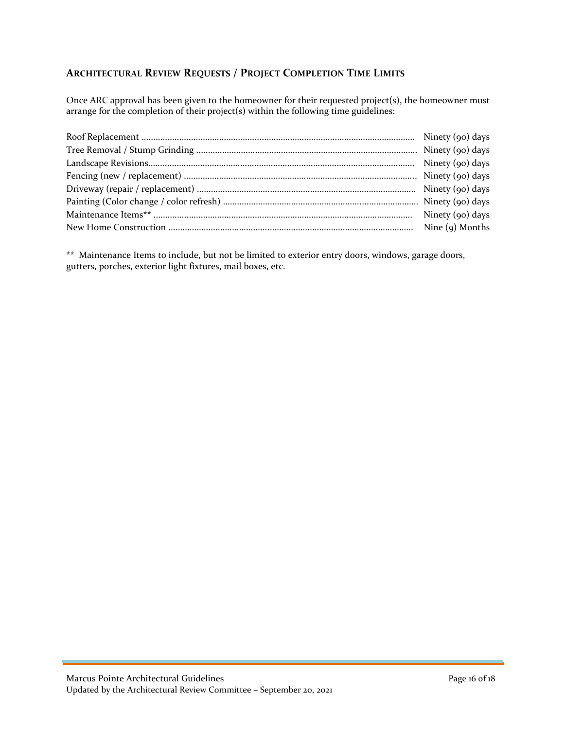## <span id="page-15-0"></span>**ARCHITECTURAL REVIEW REQUESTS / PROJECT COMPLETION TIME LIMITS**

Once ARC approval has been given to the homeowner for their requested project(s), the homeowner must arrange for the completion of their project(s) within the following time guidelines:

\*\* Maintenance Items to include, but not be limited to exterior entry doors, windows, garage doors, gutters, porches, exterior light fixtures, mail boxes, etc.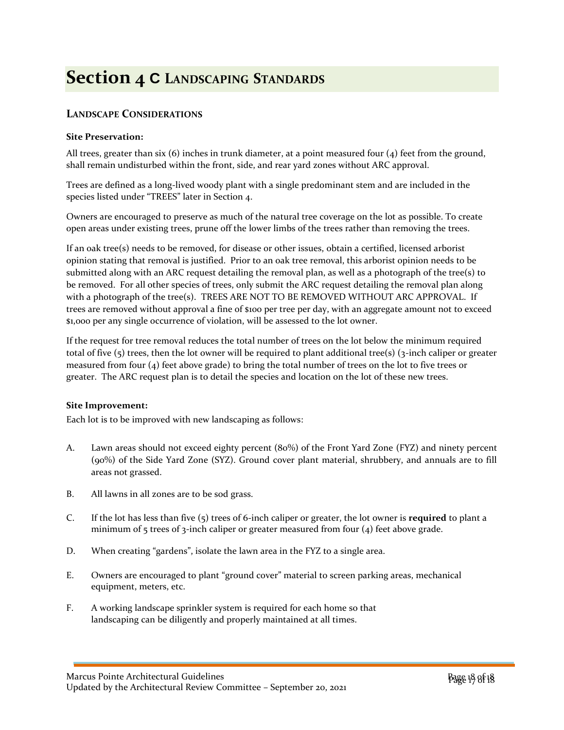# **Section 4 C LANDSCAPING STANDARDS**

## <span id="page-16-0"></span>**LANDSCAPE CONSIDERATIONS**

#### **Site Preservation:**

All trees, greater than six  $(6)$  inches in trunk diameter, at a point measured four  $(4)$  feet from the ground, shall remain undisturbed within the front, side, and rear yard zones without ARC approval.

Trees are defined as a long-lived woody plant with a single predominant stem and are included in the species listed under "TREES" later in Section 4.

Owners are encouraged to preserve as much of the natural tree coverage on the lot as possible. To create open areas under existing trees, prune off the lower limbs of the trees rather than removing the trees.

If an oak tree(s) needs to be removed, for disease or other issues, obtain a certified, licensed arborist opinion stating that removal is justified. Prior to an oak tree removal, this arborist opinion needs to be submitted along with an ARC request detailing the removal plan, as well as a photograph of the tree(s) to be removed. For all other species of trees, only submit the ARC request detailing the removal plan along with a photograph of the tree(s). TREES ARE NOT TO BE REMOVED WITHOUT ARC APPROVAL. If trees are removed without approval a fine of \$100 per tree per day, with an aggregate amount not to exceed \$1,000 per any single occurrence of violation, will be assessed to the lot owner.

If the request for tree removal reduces the total number of trees on the lot below the minimum required total of five  $(5)$  trees, then the lot owner will be required to plant additional tree(s)  $(3\text{-inch } \text{caliper } \text{or } \text{greater }$ measured from four (4) feet above grade) to bring the total number of trees on the lot to five trees or greater. The ARC request plan is to detail the species and location on the lot of these new trees.

#### **Site Improvement:**

Each lot is to be improved with new landscaping as follows:

- A. Lawn areas should not exceed eighty percent (80%) of the Front Yard Zone (FYZ) and ninety percent (90%) of the Side Yard Zone (SYZ). Ground cover plant material, shrubbery, and annuals are to fill areas not grassed.
- B. All lawns in all zones are to be sod grass.
- C. If the lot has less than five (5) trees of 6-inch caliper or greater, the lot owner is **required** to plant a minimum of  $5$  trees of  $3$ -inch caliper or greater measured from four (4) feet above grade.
- D. When creating "gardens", isolate the lawn area in the FYZ to a single area.
- E. Owners are encouraged to plant "ground cover" material to screen parking areas, mechanical equipment, meters, etc.
- F. A working landscape sprinkler system is required for each home so that landscaping can be diligently and properly maintained at all times.